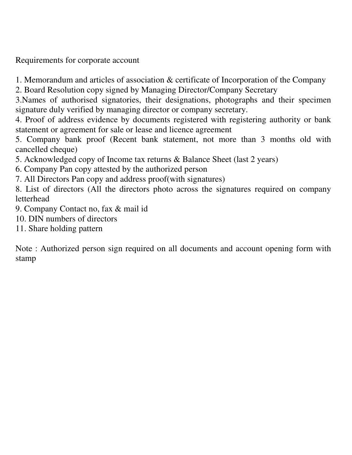Requirements for corporate account

1. Memorandum and articles of association & certificate of Incorporation of the Company

2. Board Resolution copy signed by Managing Director/Company Secretary

3.Names of authorised signatories, their designations, photographs and their specimen signature duly verified by managing director or company secretary.

4. Proof of address evidence by documents registered with registering authority or bank statement or agreement for sale or lease and licence agreement

5. Company bank proof (Recent bank statement, not more than 3 months old with cancelled cheque)

5. Acknowledged copy of Income tax returns & Balance Sheet (last 2 years)

6. Company Pan copy attested by the authorized person

7. All Directors Pan copy and address proof(with signatures)

8. List of directors (All the directors photo across the signatures required on company letterhead

9. Company Contact no, fax & mail id

10. DIN numbers of directors

11. Share holding pattern

Note : Authorized person sign required on all documents and account opening form with stamp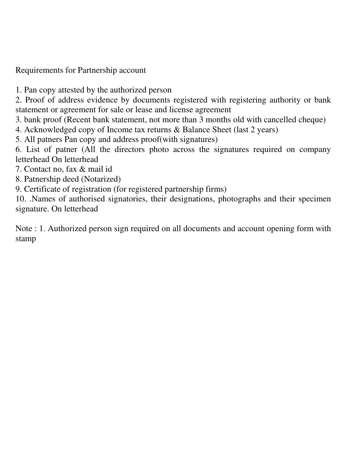Requirements for Partnership account

1. Pan copy attested by the authorized person

2. Proof of address evidence by documents registered with registering authority or bank statement or agreement for sale or lease and license agreement

3. bank proof (Recent bank statement, not more than 3 months old with cancelled cheque)

4. Acknowledged copy of Income tax returns & Balance Sheet (last 2 years)

5. All patners Pan copy and address proof(with signatures)

6. List of patner (All the directors photo across the signatures required on company letterhead On letterhead

- 7. Contact no, fax & mail id
- 8. Patnership deed (Notarized)

9. Certificate of registration (for registered partnership firms)

10. .Names of authorised signatories, their designations, photographs and their specimen signature. On letterhead

Note : 1. Authorized person sign required on all documents and account opening form with stamp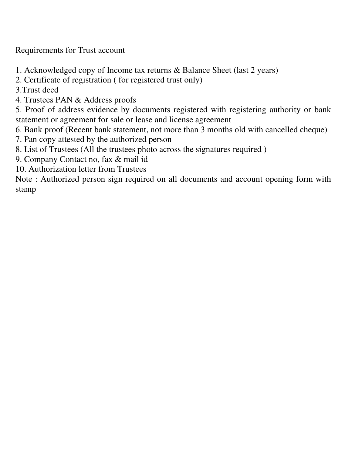Requirements for Trust account

- 1. Acknowledged copy of Income tax returns & Balance Sheet (last 2 years)
- 2. Certificate of registration ( for registered trust only)
- 3.Trust deed
- 4. Trustees PAN & Address proofs

5. Proof of address evidence by documents registered with registering authority or bank statement or agreement for sale or lease and license agreement

- 6. Bank proof (Recent bank statement, not more than 3 months old with cancelled cheque)
- 7. Pan copy attested by the authorized person
- 8. List of Trustees (All the trustees photo across the signatures required )
- 9. Company Contact no, fax & mail id
- 10. Authorization letter from Trustees

Note : Authorized person sign required on all documents and account opening form with stamp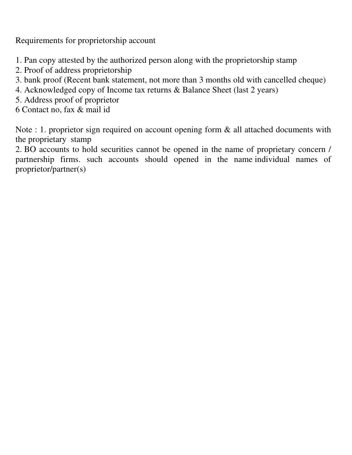Requirements for proprietorship account

- 1. Pan copy attested by the authorized person along with the proprietorship stamp
- 2. Proof of address proprietorship
- 3. bank proof (Recent bank statement, not more than 3 months old with cancelled cheque)
- 4. Acknowledged copy of Income tax returns & Balance Sheet (last 2 years)
- 5. Address proof of proprietor
- 6 Contact no, fax & mail id

Note : 1. proprietor sign required on account opening form & all attached documents with the proprietary stamp

2. BO accounts to hold securities cannot be opened in the name of proprietary concern / partnership firms. such accounts should opened in the name individual names of proprietor/partner(s)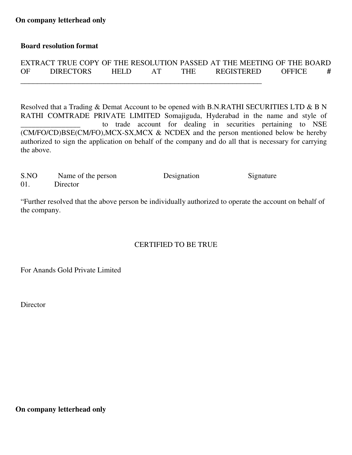## **Board resolution format**

|    | EXTRACT TRUE COPY OF THE RESOLUTION PASSED AT THE MEETING OF THE BOARD |             |            |                   |               |   |
|----|------------------------------------------------------------------------|-------------|------------|-------------------|---------------|---|
| OF | <b>DIRECTORS</b>                                                       | <b>HELD</b> | <b>THE</b> | <b>REGISTERED</b> | <b>OFFICE</b> | # |
|    |                                                                        |             |            |                   |               |   |

Resolved that a Trading & Demat Account to be opened with B.N.RATHI SECURITIES LTD & B N RATHI COMTRADE PRIVATE LIMITED Somajiguda, Hyderabad in the name and style of to trade account for dealing in securities pertaining to NSE (CM/FO/CD)BSE(CM/FO),MCX-SX,MCX & NCDEX and the person mentioned below be hereby authorized to sign the application on behalf of the company and do all that is necessary for carrying the above.

| S.NO | Name of the person | Designation | Signature |
|------|--------------------|-------------|-----------|
| 01.  | Director           |             |           |

"Further resolved that the above person be individually authorized to operate the account on behalf of the company.

## CERTIFIED TO BE TRUE

For Anands Gold Private Limited

Director

**On company letterhead only**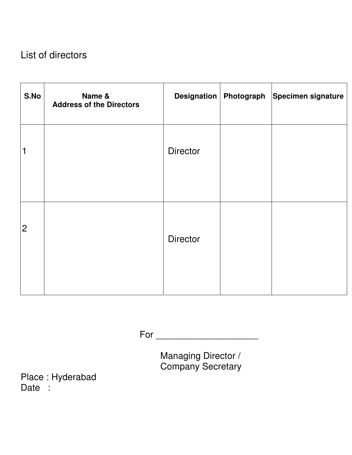## List of directors

| S.No           | Name &<br><b>Address of the Directors</b> |                 | Designation   Photograph | Specimen signature |
|----------------|-------------------------------------------|-----------------|--------------------------|--------------------|
| 1              |                                           | <b>Director</b> |                          |                    |
| $\overline{2}$ |                                           | <b>Director</b> |                          |                    |

For \_\_\_\_\_\_\_\_\_\_\_\_\_\_\_\_\_\_\_\_

 Managing Director / Company Secretary

Place : Hyderabad Date :